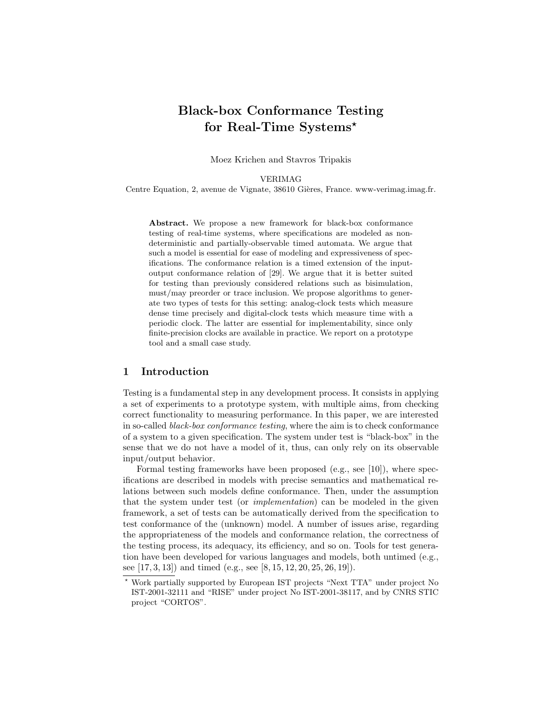# Black-box Conformance Testing for Real-Time Systems\*

Moez Krichen and Stavros Tripakis

VERIMAG

Centre Equation, 2, avenue de Vignate, 38610 Gières, France. www-verimag.imag.fr.

Abstract. We propose a new framework for black-box conformance testing of real-time systems, where specifications are modeled as nondeterministic and partially-observable timed automata. We argue that such a model is essential for ease of modeling and expressiveness of specifications. The conformance relation is a timed extension of the inputoutput conformance relation of [29]. We argue that it is better suited for testing than previously considered relations such as bisimulation, must/may preorder or trace inclusion. We propose algorithms to generate two types of tests for this setting: analog-clock tests which measure dense time precisely and digital-clock tests which measure time with a periodic clock. The latter are essential for implementability, since only finite-precision clocks are available in practice. We report on a prototype tool and a small case study.

# 1 Introduction

Testing is a fundamental step in any development process. It consists in applying a set of experiments to a prototype system, with multiple aims, from checking correct functionality to measuring performance. In this paper, we are interested in so-called black-box conformance testing, where the aim is to check conformance of a system to a given specification. The system under test is "black-box" in the sense that we do not have a model of it, thus, can only rely on its observable input/output behavior.

Formal testing frameworks have been proposed (e.g., see [10]), where specifications are described in models with precise semantics and mathematical relations between such models define conformance. Then, under the assumption that the system under test (or implementation) can be modeled in the given framework, a set of tests can be automatically derived from the specification to test conformance of the (unknown) model. A number of issues arise, regarding the appropriateness of the models and conformance relation, the correctness of the testing process, its adequacy, its efficiency, and so on. Tools for test generation have been developed for various languages and models, both untimed (e.g., see [17, 3, 13]) and timed (e.g., see [8, 15, 12, 20, 25, 26, 19]).

<sup>?</sup> Work partially supported by European IST projects "Next TTA" under project No IST-2001-32111 and "RISE" under project No IST-2001-38117, and by CNRS STIC project "CORTOS".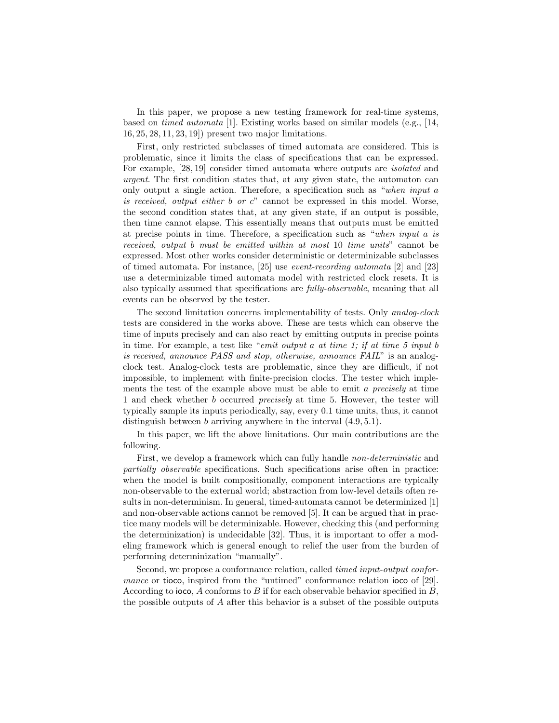In this paper, we propose a new testing framework for real-time systems, based on timed automata [1]. Existing works based on similar models (e.g., [14, 16, 25, 28, 11, 23, 19]) present two major limitations.

First, only restricted subclasses of timed automata are considered. This is problematic, since it limits the class of specifications that can be expressed. For example, [28, 19] consider timed automata where outputs are isolated and urgent. The first condition states that, at any given state, the automaton can only output a single action. Therefore, a specification such as "when input a is received, output either  $b$  or  $c$ " cannot be expressed in this model. Worse, the second condition states that, at any given state, if an output is possible, then time cannot elapse. This essentially means that outputs must be emitted at precise points in time. Therefore, a specification such as "when input a is received, output b must be emitted within at most 10 time units" cannot be expressed. Most other works consider deterministic or determinizable subclasses of timed automata. For instance, [25] use event-recording automata [2] and [23] use a determinizable timed automata model with restricted clock resets. It is also typically assumed that specifications are fully-observable, meaning that all events can be observed by the tester.

The second limitation concerns implementability of tests. Only analog-clock tests are considered in the works above. These are tests which can observe the time of inputs precisely and can also react by emitting outputs in precise points in time. For example, a test like "*emit output a at time 1; if at time 5 input b* is received, announce PASS and stop, otherwise, announce FAIL" is an analogclock test. Analog-clock tests are problematic, since they are difficult, if not impossible, to implement with finite-precision clocks. The tester which implements the test of the example above must be able to emit a precisely at time 1 and check whether b occurred precisely at time 5. However, the tester will typically sample its inputs periodically, say, every 0.1 time units, thus, it cannot distinguish between *b* arriving anywhere in the interval  $(4.9, 5.1)$ .

In this paper, we lift the above limitations. Our main contributions are the following.

First, we develop a framework which can fully handle non-deterministic and partially observable specifications. Such specifications arise often in practice: when the model is built compositionally, component interactions are typically non-observable to the external world; abstraction from low-level details often results in non-determinism. In general, timed-automata cannot be determinized [1] and non-observable actions cannot be removed [5]. It can be argued that in practice many models will be determinizable. However, checking this (and performing the determinization) is undecidable [32]. Thus, it is important to offer a modeling framework which is general enough to relief the user from the burden of performing determinization "manually".

Second, we propose a conformance relation, called timed input-output conformance or tioco, inspired from the "untimed" conformance relation ioco of [29]. According to ioco,  $A$  conforms to  $B$  if for each observable behavior specified in  $B$ , the possible outputs of A after this behavior is a subset of the possible outputs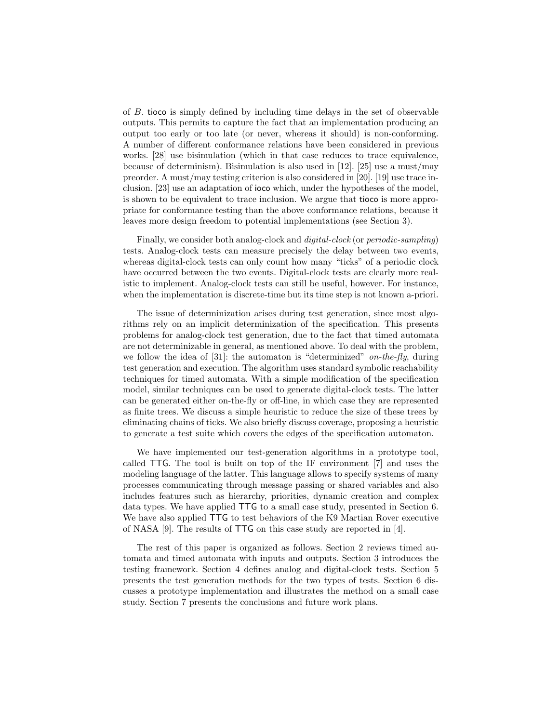of B. tioco is simply defined by including time delays in the set of observable outputs. This permits to capture the fact that an implementation producing an output too early or too late (or never, whereas it should) is non-conforming. A number of different conformance relations have been considered in previous works. [28] use bisimulation (which in that case reduces to trace equivalence, because of determinism). Bisimulation is also used in [12]. [25] use a must/may preorder. A must/may testing criterion is also considered in [20]. [19] use trace inclusion. [23] use an adaptation of ioco which, under the hypotheses of the model, is shown to be equivalent to trace inclusion. We argue that tioco is more appropriate for conformance testing than the above conformance relations, because it leaves more design freedom to potential implementations (see Section 3).

Finally, we consider both analog-clock and digital-clock (or periodic-sampling) tests. Analog-clock tests can measure precisely the delay between two events, whereas digital-clock tests can only count how many "ticks" of a periodic clock have occurred between the two events. Digital-clock tests are clearly more realistic to implement. Analog-clock tests can still be useful, however. For instance, when the implementation is discrete-time but its time step is not known a-priori.

The issue of determinization arises during test generation, since most algorithms rely on an implicit determinization of the specification. This presents problems for analog-clock test generation, due to the fact that timed automata are not determinizable in general, as mentioned above. To deal with the problem, we follow the idea of [31]: the automaton is "determinized" *on-the-fly*, during test generation and execution. The algorithm uses standard symbolic reachability techniques for timed automata. With a simple modification of the specification model, similar techniques can be used to generate digital-clock tests. The latter can be generated either on-the-fly or off-line, in which case they are represented as finite trees. We discuss a simple heuristic to reduce the size of these trees by eliminating chains of ticks. We also briefly discuss coverage, proposing a heuristic to generate a test suite which covers the edges of the specification automaton.

We have implemented our test-generation algorithms in a prototype tool, called TTG. The tool is built on top of the IF environment [7] and uses the modeling language of the latter. This language allows to specify systems of many processes communicating through message passing or shared variables and also includes features such as hierarchy, priorities, dynamic creation and complex data types. We have applied TTG to a small case study, presented in Section 6. We have also applied TTG to test behaviors of the K9 Martian Rover executive of NASA [9]. The results of TTG on this case study are reported in [4].

The rest of this paper is organized as follows. Section 2 reviews timed automata and timed automata with inputs and outputs. Section 3 introduces the testing framework. Section 4 defines analog and digital-clock tests. Section 5 presents the test generation methods for the two types of tests. Section 6 discusses a prototype implementation and illustrates the method on a small case study. Section 7 presents the conclusions and future work plans.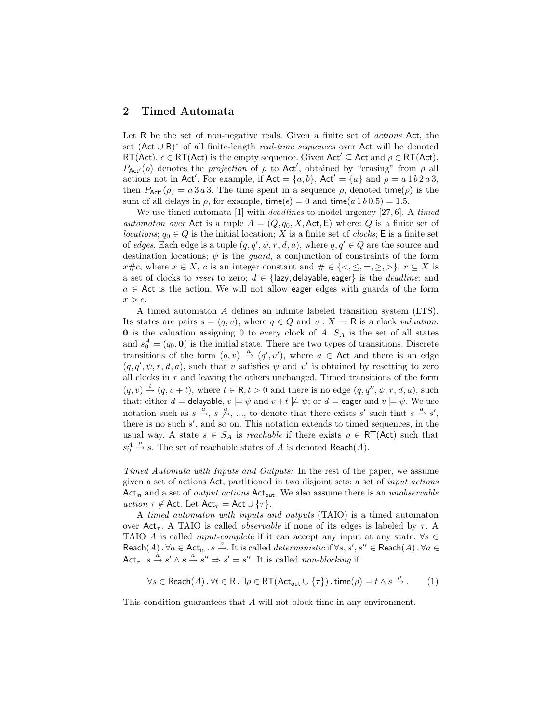## 2 Timed Automata

Let R be the set of non-negative reals. Given a finite set of actions Act, the set (Act∪R)<sup>\*</sup> of all finite-length *real-time sequences* over Act will be denoted RT(Act).  $\epsilon \in RT(\text{Act})$  is the empty sequence. Given Act' ⊂ Act and  $\rho \in RT(\text{Act})$ ,  $P_{\text{Act}}(\rho)$  denotes the *projection* of  $\rho$  to Act', obtained by "erasing" from  $\rho$  all actions not in Act'. For example, if  $Act = \{a, b\}$ ,  $Act' = \{a\}$  and  $\rho = a \, 1 \, b \, 2 \, a \, 3$ , then  $P_{\text{Act}}(\rho) = a \cdot 3 \cdot a \cdot 3$ . The time spent in a sequence  $\rho$ , denoted time( $\rho$ ) is the sum of all delays in  $\rho$ , for example, time( $\epsilon$ ) = 0 and time(a 1 b 0.5) = 1.5.

We use timed automata  $[1]$  with *deadlines* to model urgency  $[27, 6]$ . A timed automaton over Act is a tuple  $A = (Q, q_0, X, \text{Act}, E)$  where: Q is a finite set of locations;  $q_0 \in Q$  is the initial location; X is a finite set of clocks; E is a finite set of edges. Each edge is a tuple  $(q, q', \psi, r, d, a)$ , where  $q, q' \in Q$  are the source and destination locations;  $\psi$  is the *guard*, a conjunction of constraints of the form  $x \# c$ , where  $x \in X$ , c is an integer constant and  $\# \in \{ \langle \leq, \leq, =, \geq, \geq \} \}; r \subseteq X$  is a set of clocks to reset to zero;  $d \in \{\text{lazy}, \text{delayable}, \text{eager}\}\$ is the *deadline*; and  $a \in$  Act is the action. We will not allow eager edges with guards of the form  $x > c$ .

A timed automaton A defines an infinite labeled transition system (LTS). Its states are pairs  $s = (q, v)$ , where  $q \in Q$  and  $v : X \to \mathsf{R}$  is a clock valuation.  $\mathbf 0$  is the valuation assigning 0 to every clock of A.  $S_A$  is the set of all states and  $s_0^A = (q_0, \mathbf{0})$  is the initial state. There are two types of transitions. Discrete transitions of the form  $(q, v) \stackrel{a}{\rightarrow} (q', v')$ , where  $a \in$  Act and there is an edge  $(q, q', \psi, r, d, a)$ , such that v satisfies  $\psi$  and v' is obtained by resetting to zero all clocks in  $r$  and leaving the others unchanged. Timed transitions of the form  $(q, v) \stackrel{t}{\rightarrow} (q, v+t)$ , where  $t \in \mathsf{R}, t > 0$  and there is no edge  $(q, q'', \psi, r, d, a)$ , such that: either  $d =$  delayable,  $v \models \psi$  and  $v + t \not\models \psi$ ; or  $d =$  eager and  $v \models \psi$ . We use notation such as  $s \stackrel{a}{\rightarrow}$ ,  $s \stackrel{q}{\rightarrow}$ , ..., to denote that there exists s' such that  $s \stackrel{a}{\rightarrow} s'$ , there is no such  $s'$ , and so on. This notation extends to timed sequences, in the usual way. A state  $s \in S_A$  is *reachable* if there exists  $\rho \in RT(\text{Act})$  such that  $s_0^A \stackrel{\rho}{\rightarrow} s$ . The set of reachable states of A is denoted Reach(A).

Timed Automata with Inputs and Outputs: In the rest of the paper, we assume given a set of actions Act, partitioned in two disjoint sets: a set of input actions Act<sub>in</sub> and a set of *output actions*  $Act_{out}$ . We also assume there is an *unobservable* action  $\tau \notin$  Act. Let Act<sub> $\tau$ </sub> = Act  $\cup$  { $\tau$ }.

A timed automaton with inputs and outputs (TAIO) is a timed automaton over  $Act_{\tau}$ . A TAIO is called *observable* if none of its edges is labeled by  $\tau$ . A TAIO A is called *input-complete* if it can accept any input at any state:  $\forall s \in \mathbb{R}$ Reach $(A)$ .  $\forall a \in \text{Act}_{\text{in}}^{\cdot}$ .  $s \stackrel{a}{\rightarrow}$ . It is called *deterministic* if  $\forall s, s', s'' \in \text{Reach}(A)$ .  $\forall a \in \text{Text}(A)$ Act<sub> $\tau$ </sub>.  $s \stackrel{a}{\rightarrow} s' \wedge s \stackrel{a}{\rightarrow} s'' \Rightarrow s' = s''$ . It is called *non-blocking* if

$$
\forall s \in \text{Reach}(A) \,.\, \forall t \in \mathsf{R} \,.\, \exists \rho \in \text{RT}(\text{Act}_{\text{out}} \cup \{\tau\}) \,.\, \text{time}(\rho) = t \wedge s \xrightarrow{\rho} . \qquad (1)
$$

This condition guarantees that A will not block time in any environment.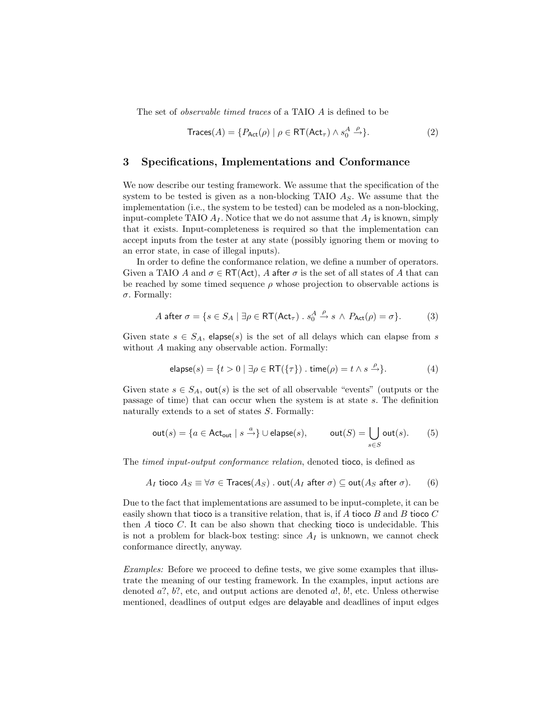The set of observable timed traces of a TAIO A is defined to be

$$
\text{Traces}(A) = \{ P_{\text{Act}}(\rho) \mid \rho \in \text{RT}(\text{Act}_{\tau}) \land s_0^A \xrightarrow{\rho} \}. \tag{2}
$$

## 3 Specifications, Implementations and Conformance

We now describe our testing framework. We assume that the specification of the system to be tested is given as a non-blocking TAIO  $A<sub>S</sub>$ . We assume that the implementation (i.e., the system to be tested) can be modeled as a non-blocking, input-complete TAIO  $A_I$ . Notice that we do not assume that  $A_I$  is known, simply that it exists. Input-completeness is required so that the implementation can accept inputs from the tester at any state (possibly ignoring them or moving to an error state, in case of illegal inputs).

In order to define the conformance relation, we define a number of operators. Given a TAIO A and  $\sigma \in RT(\text{Act})$ , A after  $\sigma$  is the set of all states of A that can be reached by some timed sequence  $\rho$  whose projection to observable actions is σ. Formally:

$$
A \text{ after } \sigma = \{ s \in S_A \mid \exists \rho \in \text{RT}(\text{Act}_{\tau}) \, \ldots \, s_0^A \xrightarrow{\rho} s \, \land \, P_{\text{Act}}(\rho) = \sigma \}. \tag{3}
$$

Given state  $s \in S_A$ , elapse(s) is the set of all delays which can elapse from s without A making any observable action. Formally:

$$
\text{elapse}(s) = \{t > 0 \mid \exists \rho \in \text{RT}(\{\tau\}) \text{ . time}(\rho) = t \land s \xrightarrow{\rho} \}. \tag{4}
$$

Given state  $s \in S_A$ , out(s) is the set of all observable "events" (outputs or the passage of time) that can occur when the system is at state s. The definition naturally extends to a set of states S. Formally:

$$
\text{out}(s) = \{a \in \text{Act}_{\text{out}} \mid s \xrightarrow{a} \} \cup \text{elapse}(s), \qquad \text{out}(S) = \bigcup_{s \in S} \text{out}(s). \tag{5}
$$

The timed input-output conformance relation, denoted tioco, is defined as

$$
A_I\ \textsf{tioco}\ A_S\equiv \forall \sigma\in\mathsf{Traces}(A_S)\ .\ \textsf{out}(A_I\ \textsf{after}\ \sigma)\subseteq\mathsf{out}(A_S\ \textsf{after}\ \sigma).\quad \quad (6)
$$

Due to the fact that implementations are assumed to be input-complete, it can be easily shown that tioco is a transitive relation, that is, if  $A$  tioco  $B$  and  $B$  tioco  $C$ then A tioco C. It can be also shown that checking tioco is undecidable. This is not a problem for black-box testing: since  $A_I$  is unknown, we cannot check conformance directly, anyway.

Examples: Before we proceed to define tests, we give some examples that illustrate the meaning of our testing framework. In the examples, input actions are denoted  $a$ ?,  $b$ ?, etc, and output actions are denoted  $a$ !,  $b$ !, etc. Unless otherwise mentioned, deadlines of output edges are delayable and deadlines of input edges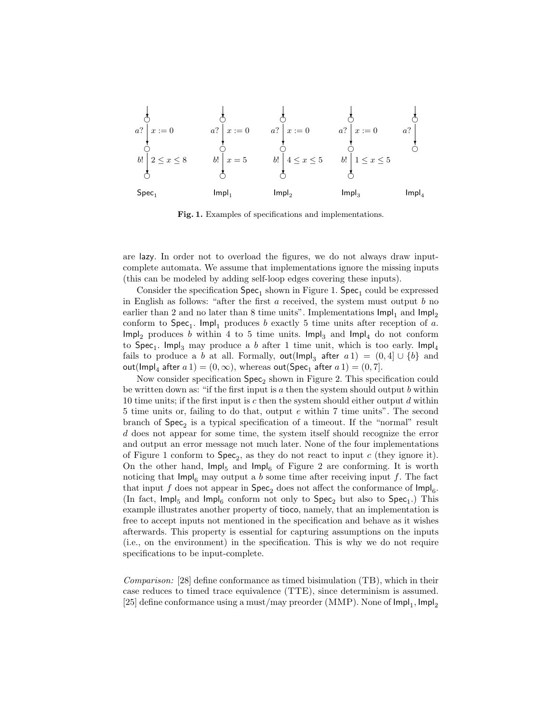

Fig. 1. Examples of specifications and implementations.

are lazy. In order not to overload the figures, we do not always draw inputcomplete automata. We assume that implementations ignore the missing inputs (this can be modeled by adding self-loop edges covering these inputs).

Consider the specification  $\textsf{Spec}_1$  shown in Figure 1.  $\textsf{Spec}_1$  could be expressed in English as follows: "after the first  $a$  received, the system must output  $b$  no earlier than 2 and no later than 8 time units". Implementations  $\text{Impl}_1$  and  $\text{Impl}_2$ conform to  $\textsf{Spec}_1$ . Impl<sub>1</sub> produces b exactly 5 time units after reception of a.  $\text{Impl}_2$  produces b within 4 to 5 time units.  $\text{Impl}_3$  and  $\text{Impl}_4$  do not conform to  $Spec_1$ . Impl<sub>3</sub> may produce a b after 1 time unit, which is too early. Impl<sub>4</sub> fails to produce a b at all. Formally,  $\mathsf{out}(\mathsf{Impl}_3 \ \mathsf{after} \ a\ 1) = (0,4] \cup \{b\}$  and out(lmpl<sub>4</sub> after  $a 1$ ) =  $(0, \infty)$ , whereas out(Spec<sub>1</sub> after  $a 1$ ) =  $(0, 7]$ .

Now consider specification  $\textsf{Spec}_2$  shown in Figure 2. This specification could be written down as: "if the first input is a then the system should output  $b$  within 10 time units; if the first input is  $c$  then the system should either output  $d$  within 5 time units or, failing to do that, output e within 7 time units". The second branch of  $Spec_2$  is a typical specification of a timeout. If the "normal" result d does not appear for some time, the system itself should recognize the error and output an error message not much later. None of the four implementations of Figure 1 conform to  $Spec_2$ , as they do not react to input c (they ignore it). On the other hand,  $\text{Impl}_5$  and  $\text{Impl}_6$  of Figure 2 are conforming. It is worth noticing that  $\text{Impl}_6$  may output a b some time after receiving input f. The fact that input f does not appear in  $\textsf{Spec}_2$  does not affect the conformance of  $\textsf{Impl}_6$ . (In fact,  $\text{Impl}_5$  and  $\text{Impl}_6$  conform not only to  $\text{Spec}_2$  but also to  $\text{Spec}_1$ .) This example illustrates another property of tioco, namely, that an implementation is free to accept inputs not mentioned in the specification and behave as it wishes afterwards. This property is essential for capturing assumptions on the inputs (i.e., on the environment) in the specification. This is why we do not require specifications to be input-complete.

Comparison: [28] define conformance as timed bisimulation (TB), which in their case reduces to timed trace equivalence (TTE), since determinism is assumed. [25] define conformance using a must/may preorder (MMP). None of  $\mathsf{Impl}_1, \mathsf{Impl}_2$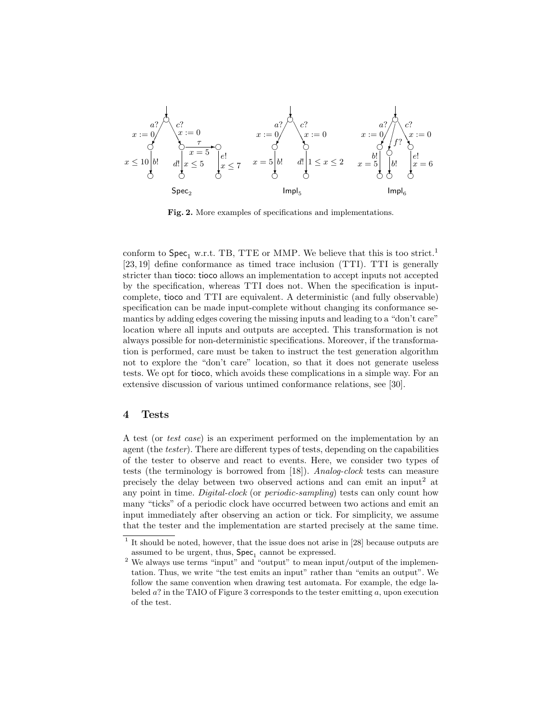

Fig. 2. More examples of specifications and implementations.

conform to  $Spec_1$  w.r.t. TB, TTE or MMP. We believe that this is too strict.<sup>1</sup> [23, 19] define conformance as timed trace inclusion (TTI). TTI is generally stricter than tioco: tioco allows an implementation to accept inputs not accepted by the specification, whereas TTI does not. When the specification is inputcomplete, tioco and TTI are equivalent. A deterministic (and fully observable) specification can be made input-complete without changing its conformance semantics by adding edges covering the missing inputs and leading to a "don't care" location where all inputs and outputs are accepted. This transformation is not always possible for non-deterministic specifications. Moreover, if the transformation is performed, care must be taken to instruct the test generation algorithm not to explore the "don't care" location, so that it does not generate useless tests. We opt for tioco, which avoids these complications in a simple way. For an extensive discussion of various untimed conformance relations, see [30].

# 4 Tests

A test (or test case) is an experiment performed on the implementation by an agent (the tester). There are different types of tests, depending on the capabilities of the tester to observe and react to events. Here, we consider two types of tests (the terminology is borrowed from [18]). Analog-clock tests can measure precisely the delay between two observed actions and can emit an input<sup>2</sup> at any point in time. Digital-clock (or periodic-sampling) tests can only count how many "ticks" of a periodic clock have occurred between two actions and emit an input immediately after observing an action or tick. For simplicity, we assume that the tester and the implementation are started precisely at the same time.

<sup>&</sup>lt;sup>1</sup> It should be noted, however, that the issue does not arise in [28] because outputs are assumed to be urgent, thus,  $\mathsf{Spec}_1$  cannot be expressed.

<sup>&</sup>lt;sup>2</sup> We always use terms "input" and "output" to mean input/output of the implementation. Thus, we write "the test emits an input" rather than "emits an output". We follow the same convention when drawing test automata. For example, the edge labeled  $a$ ? in the TAIO of Figure 3 corresponds to the tester emitting  $a$ , upon execution of the test.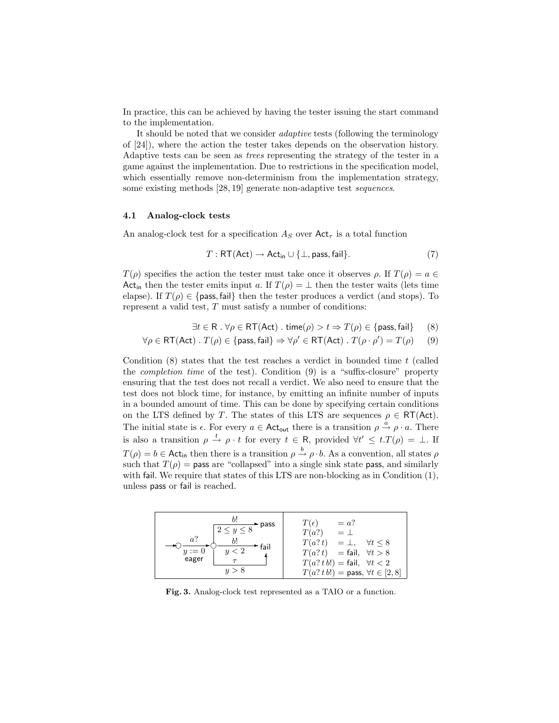In practice, this can be achieved by having the tester issuing the start command to the implementation.

It should be noted that we consider adaptive tests (following the terminology of [24]), where the action the tester takes depends on the observation history. Adaptive tests can be seen as trees representing the strategy of the tester in a game against the implementation. Due to restrictions in the specification model, which essentially remove non-determinism from the implementation strategy, some existing methods [28, 19] generate non-adaptive test sequences.

### 4.1 Analog-clock tests

An analog-clock test for a specification  $A<sub>S</sub>$  over  $\mathsf{Act}_{\tau}$  is a total function

$$
T: \mathsf{RT}(\mathsf{Act}) \to \mathsf{Act}_{\mathsf{in}} \cup \{\bot, \mathsf{pass}, \mathsf{fail}\}. \tag{7}
$$

 $T(\rho)$  specifies the action the tester must take once it observes  $\rho$ . If  $T(\rho) = a \in$ Act<sub>in</sub> then the tester emits input a. If  $T(\rho) = \perp$  then the tester waits (lets time elapse). If  $T(\rho) \in \{\text{pass}, \text{fail}\}\$  then the tester produces a verdict (and stops). To represent a valid test,  $T$  must satisfy a number of conditions:

 $\exists t \in \mathsf{R} \cdot \forall \rho \in \mathsf{RT}(\mathsf{Act}) \cdot \mathsf{time}(\rho) > t \Rightarrow T(\rho) \in \{\mathsf{pass}, \mathsf{fail}\}$  (8)

$$
\forall \rho \in \mathsf{RT}(\mathsf{Act}) \ . \ T(\rho) \in \{\mathsf{pass}, \mathsf{fail}\} \Rightarrow \forall \rho' \in \mathsf{RT}(\mathsf{Act}) \ . \ T(\rho \cdot \rho') = T(\rho) \tag{9}
$$

Condition  $(8)$  states that the test reaches a verdict in bounded time t (called the completion time of the test). Condition (9) is a "suffix-closure" property ensuring that the test does not recall a verdict. We also need to ensure that the test does not block time, for instance, by emitting an infinite number of inputs in a bounded amount of time. This can be done by specifying certain conditions on the LTS defined by T. The states of this LTS are sequences  $\rho \in RT(\text{Act})$ . The initial state is  $\epsilon$ . For every  $a \in \text{Act}_{\text{out}}$  there is a transition  $\rho \stackrel{a}{\rightarrow} \rho \cdot a$ . There is also a transition  $\rho \stackrel{t}{\rightarrow} \rho \cdot t$  for every  $t \in \mathsf{R}$ , provided  $\forall t' \leq t \cdot T(\rho) = \bot$ . If  $T(\rho) = b \in \text{Act}_{\text{in}}$  then there is a transition  $\rho \stackrel{b}{\rightarrow} \rho \cdot b$ . As a convention, all states  $\rho$ such that  $T(\rho)$  = pass are "collapsed" into a single sink state pass, and similarly with fail. We require that states of this LTS are non-blocking as in Condition  $(1)$ , unless pass or fail is reached.

Fig. 3. Analog-clock test represented as a TAIO or a function.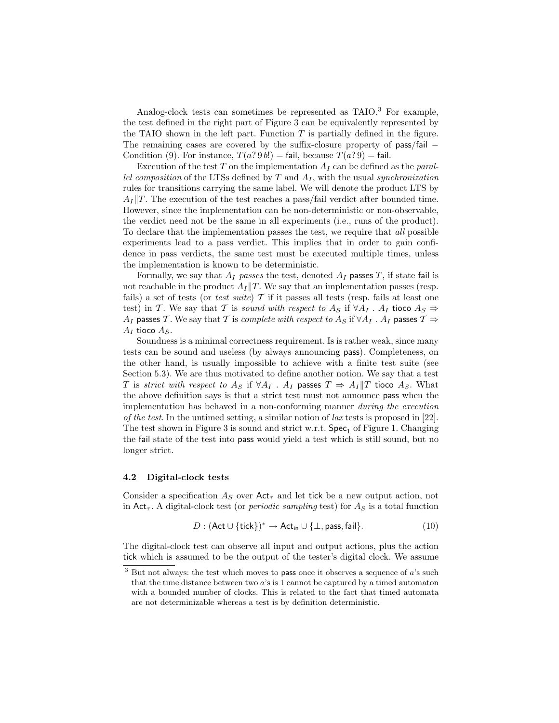Analog-clock tests can sometimes be represented as TAIO.<sup>3</sup> For example, the test defined in the right part of Figure 3 can be equivalently represented by the TAIO shown in the left part. Function  $T$  is partially defined in the figure. The remaining cases are covered by the suffix-closure property of pass/fail – Condition (9). For instance,  $T(a?9 b!)$  = fail, because  $T(a?9)$  = fail.

Execution of the test T on the implementation  $A_I$  can be defined as the parallel composition of the LTSs defined by T and  $A_I$ , with the usual synchronization rules for transitions carrying the same label. We will denote the product LTS by  $A_I || T$ . The execution of the test reaches a pass/fail verdict after bounded time. However, since the implementation can be non-deterministic or non-observable, the verdict need not be the same in all experiments (i.e., runs of the product). To declare that the implementation passes the test, we require that all possible experiments lead to a pass verdict. This implies that in order to gain confidence in pass verdicts, the same test must be executed multiple times, unless the implementation is known to be deterministic.

Formally, we say that  $A_I$  passes the test, denoted  $A_I$  passes  $T$ , if state fail is not reachable in the product  $A_I || T$ . We say that an implementation passes (resp. fails) a set of tests (or test suite)  $\mathcal T$  if it passes all tests (resp. fails at least one test) in T. We say that T is sound with respect to  $A_S$  if  $\forall A_I \cdot A_I$  tioco  $A_S \Rightarrow$  $A_I$  passes T. We say that T is *complete with respect to*  $A_S$  if  $\forall A_I$ .  $A_I$  passes  $T \Rightarrow$  $A_I$  tioco  $A_S$ .

Soundness is a minimal correctness requirement. Is is rather weak, since many tests can be sound and useless (by always announcing pass). Completeness, on the other hand, is usually impossible to achieve with a finite test suite (see Section 5.3). We are thus motivated to define another notion. We say that a test T is strict with respect to  $A_S$  if  $\forall A_I$ .  $A_I$  passes  $T \Rightarrow A_I || T$  tioco  $A_S$ . What the above definition says is that a strict test must not announce pass when the implementation has behaved in a non-conforming manner during the execution of the test. In the untimed setting, a similar notion of lax tests is proposed in [22]. The test shown in Figure 3 is sound and strict w.r.t.  $Spec_1$  of Figure 1. Changing the fail state of the test into pass would yield a test which is still sound, but no longer strict.

#### 4.2 Digital-clock tests

Consider a specification  $A_S$  over  $\text{Act}_{\tau}$  and let tick be a new output action, not in  $Act_{\tau}$ . A digital-clock test (or *periodic sampling* test) for  $A_S$  is a total function

$$
D: (\mathsf{Act} \cup \{\mathsf{tick}\})^* \to \mathsf{Act}_{\mathsf{in}} \cup \{\bot, \mathsf{pass}, \mathsf{fail}\}. \tag{10}
$$

The digital-clock test can observe all input and output actions, plus the action tick which is assumed to be the output of the tester's digital clock. We assume

 $3$  But not always: the test which moves to pass once it observes a sequence of  $a$ 's such that the time distance between two  $a$ 's is 1 cannot be captured by a timed automaton with a bounded number of clocks. This is related to the fact that timed automata are not determinizable whereas a test is by definition deterministic.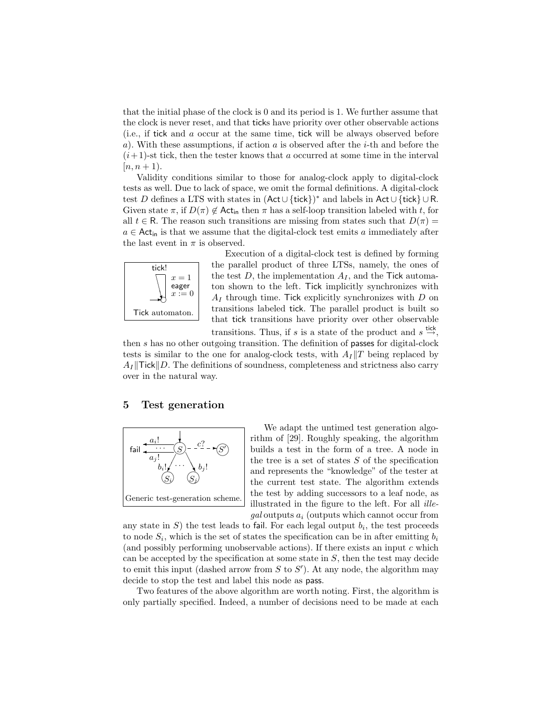that the initial phase of the clock is 0 and its period is 1. We further assume that the clock is never reset, and that ticks have priority over other observable actions (i.e., if tick and a occur at the same time, tick will be always observed before a). With these assumptions, if action  $a$  is observed after the *i*-th and before the  $(i+1)$ -st tick, then the tester knows that a occurred at some time in the interval  $[n, n + 1].$ 

Validity conditions similar to those for analog-clock apply to digital-clock tests as well. Due to lack of space, we omit the formal definitions. A digital-clock test D defines a LTS with states in  $(Act \cup \{tick\})^*$  and labels in Act  $\cup \{tick\} \cup R$ . Given state  $\pi$ , if  $D(\pi) \notin \text{Act}_{\text{in}}$  then  $\pi$  has a self-loop transition labeled with t, for all  $t \in \mathsf{R}$ . The reason such transitions are missing from states such that  $D(\pi) =$  $a \in \text{Act}_{\text{in}}$  is that we assume that the digital-clock test emits a immediately after the last event in  $\pi$  is observed.



Execution of a digital-clock test is defined by forming the parallel product of three LTSs, namely, the ones of the test  $D$ , the implementation  $A_I$ , and the Tick automaton shown to the left. Tick implicitly synchronizes with  $A_I$  through time. Tick explicitly synchronizes with D on transitions labeled tick. The parallel product is built so that tick transitions have priority over other observable transitions. Thus, if s is a state of the product and  $s \stackrel{\text{tick}}{\rightarrow}$ ,

then s has no other outgoing transition. The definition of passes for digital-clock tests is similar to the one for analog-clock tests, with  $A_I || T$  being replaced by  $A_I$  Tick D. The definitions of soundness, completeness and strictness also carry over in the natural way.

# 5 Test generation



We adapt the untimed test generation algorithm of [29]. Roughly speaking, the algorithm builds a test in the form of a tree. A node in the tree is a set of states  $S$  of the specification and represents the "knowledge" of the tester at the current test state. The algorithm extends the test by adding successors to a leaf node, as illustrated in the figure to the left. For all ille $gal$  outputs  $a_i$  (outputs which cannot occur from

any state in  $S$ ) the test leads to fail. For each legal output  $b_i$ , the test proceeds to node  $S_i$ , which is the set of states the specification can be in after emitting  $b_i$ (and possibly performing unobservable actions). If there exists an input  $c$  which can be accepted by the specification at some state in  $S$ , then the test may decide to emit this input (dashed arrow from  $S$  to  $S'$ ). At any node, the algorithm may decide to stop the test and label this node as pass.

Two features of the above algorithm are worth noting. First, the algorithm is only partially specified. Indeed, a number of decisions need to be made at each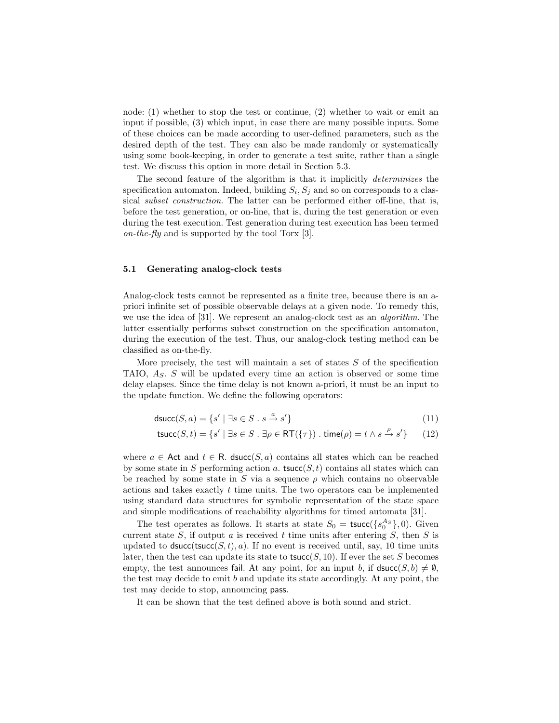node: (1) whether to stop the test or continue, (2) whether to wait or emit an input if possible, (3) which input, in case there are many possible inputs. Some of these choices can be made according to user-defined parameters, such as the desired depth of the test. They can also be made randomly or systematically using some book-keeping, in order to generate a test suite, rather than a single test. We discuss this option in more detail in Section 5.3.

The second feature of the algorithm is that it implicitly determinizes the specification automaton. Indeed, building  $S_i$ ,  $S_j$  and so on corresponds to a classical *subset construction*. The latter can be performed either off-line, that is, before the test generation, or on-line, that is, during the test generation or even during the test execution. Test generation during test execution has been termed *on-the-fly* and is supported by the tool Torx [3].

#### 5.1 Generating analog-clock tests

Analog-clock tests cannot be represented as a finite tree, because there is an apriori infinite set of possible observable delays at a given node. To remedy this, we use the idea of [31]. We represent an analog-clock test as an algorithm. The latter essentially performs subset construction on the specification automaton, during the execution of the test. Thus, our analog-clock testing method can be classified as on-the-fly.

More precisely, the test will maintain a set of states  $S$  of the specification TAIO,  $A<sub>S</sub>$ . S will be updated every time an action is observed or some time delay elapses. Since the time delay is not known a-priori, it must be an input to the update function. We define the following operators:

$$
\text{dsucc}(S, a) = \{s' \mid \exists s \in S \, . \, s \stackrel{a}{\rightarrow} s'\}\tag{11}
$$

$$
\text{tsucc}(S, t) = \{s' \mid \exists s \in S \, : \, \exists \rho \in \text{RT}(\{\tau\}) \, : \, \text{time}(\rho) = t \land s \xrightarrow{\rho} s'\} \tag{12}
$$

where  $a \in \text{Act}$  and  $t \in \text{R}$ . dsucc(S, a) contains all states which can be reached by some state in S performing action a. tsucc( $S, t$ ) contains all states which can be reached by some state in S via a sequence  $\rho$  which contains no observable actions and takes exactly  $t$  time units. The two operators can be implemented using standard data structures for symbolic representation of the state space and simple modifications of reachability algorithms for timed automata [31].

The test operates as follows. It starts at state  $S_0 = \text{tsucc}(\{s_0^{A_S}\}, 0)$ . Given current state S, if output a is received t time units after entering S, then S is updated to  $\textsf{dsucc}(\textsf{tsucc}(S, t), a)$ . If no event is received until, say, 10 time units later, then the test can update its state to  $\text{tsucc}(S, 10)$ . If ever the set S becomes empty, the test announces fail. At any point, for an input b, if  $\textsf{dsucc}(S, b) \neq \emptyset$ , the test may decide to emit b and update its state accordingly. At any point, the test may decide to stop, announcing pass.

It can be shown that the test defined above is both sound and strict.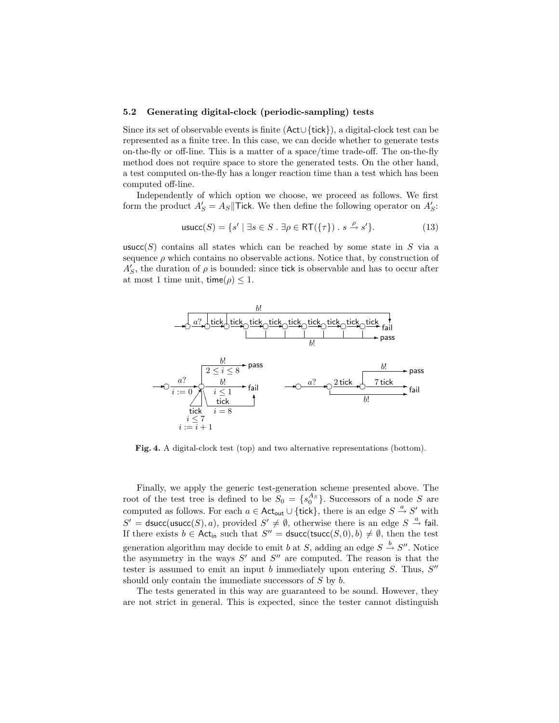#### 5.2 Generating digital-clock (periodic-sampling) tests

Since its set of observable events is finite (Act∪{tick}), a digital-clock test can be represented as a finite tree. In this case, we can decide whether to generate tests on-the-fly or off-line. This is a matter of a space/time trade-off. The on-the-fly method does not require space to store the generated tests. On the other hand, a test computed on-the-fly has a longer reaction time than a test which has been computed off-line.

Independently of which option we choose, we proceed as follows. We first form the product  $A'_{S} = A_{S}$ ||Tick. We then define the following operator on  $A'_{S}$ :

$$
\text{usucc}(S) = \{s' \mid \exists s \in S \,.\, \exists \rho \in \text{RT}(\{\tau\}) \,.\, s \xrightarrow{\rho} s'\}. \tag{13}
$$

usucc(S) contains all states which can be reached by some state in S via a sequence  $\rho$  which contains no observable actions. Notice that, by construction of  $A'_{\mathcal{S}}$ , the duration of  $\rho$  is bounded: since tick is observable and has to occur after at most 1 time unit,  $time(\rho) \leq 1$ .



Fig. 4. A digital-clock test (top) and two alternative representations (bottom).

Finally, we apply the generic test-generation scheme presented above. The root of the test tree is defined to be  $S_0 = \{s_0^{As}\}\.$  Successors of a node S are computed as follows. For each  $a \in \mathsf{Act}_{\mathsf{out}} \cup \{\textsf{tick}\},\$  there is an edge  $S \stackrel{a}{\rightarrow} S'$  with  $S' =$  dsucc(usucc(S), a), provided  $S' \neq \emptyset$ , otherwise there is an edge  $S \stackrel{a}{\rightarrow}$  fail. If there exists  $b \in \text{Act}_{\text{in}}$  such that  $S'' = \text{disucc}(\text{tsucc}(S, 0), b) \neq \emptyset$ , then the test generation algorithm may decide to emit b at S, adding an edge  $S \stackrel{b}{\rightarrow} S''$ . Notice the asymmetry in the ways  $S'$  and  $S''$  are computed. The reason is that the tester is assumed to emit an input  $b$  immediately upon entering  $S$ . Thus,  $S''$ should only contain the immediate successors of S by b.

The tests generated in this way are guaranteed to be sound. However, they are not strict in general. This is expected, since the tester cannot distinguish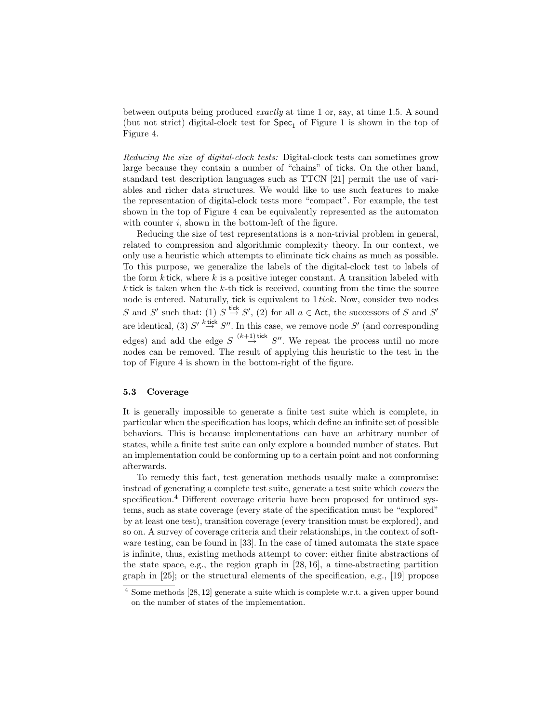between outputs being produced exactly at time 1 or, say, at time 1.5. A sound (but not strict) digital-clock test for  $Spec_1$  of Figure 1 is shown in the top of Figure 4.

Reducing the size of digital-clock tests: Digital-clock tests can sometimes grow large because they contain a number of "chains" of ticks. On the other hand, standard test description languages such as TTCN [21] permit the use of variables and richer data structures. We would like to use such features to make the representation of digital-clock tests more "compact". For example, the test shown in the top of Figure 4 can be equivalently represented as the automaton with counter  $i$ , shown in the bottom-left of the figure.

Reducing the size of test representations is a non-trivial problem in general, related to compression and algorithmic complexity theory. In our context, we only use a heuristic which attempts to eliminate tick chains as much as possible. To this purpose, we generalize the labels of the digital-clock test to labels of the form  $k$  tick, where  $k$  is a positive integer constant. A transition labeled with  $k$  tick is taken when the  $k$ -th tick is received, counting from the time the source node is entered. Naturally, tick is equivalent to  $1$  tick. Now, consider two nodes S and S' such that: (1)  $S \stackrel{\text{tick}}{\rightarrow} S'$ , (2) for all  $a \in \text{Act}$ , the successors of S and S' are identical, (3)  $S' \stackrel{k \text{ tick}}{\rightarrow} S''$ . In this case, we remove node S' (and corresponding edges) and add the edge  $S \stackrel{(k+1)\text{ tick}}{\rightarrow} S''$ . We repeat the process until no more nodes can be removed. The result of applying this heuristic to the test in the top of Figure 4 is shown in the bottom-right of the figure.

#### 5.3 Coverage

It is generally impossible to generate a finite test suite which is complete, in particular when the specification has loops, which define an infinite set of possible behaviors. This is because implementations can have an arbitrary number of states, while a finite test suite can only explore a bounded number of states. But an implementation could be conforming up to a certain point and not conforming afterwards.

To remedy this fact, test generation methods usually make a compromise: instead of generating a complete test suite, generate a test suite which covers the specification.<sup>4</sup> Different coverage criteria have been proposed for untimed systems, such as state coverage (every state of the specification must be "explored" by at least one test), transition coverage (every transition must be explored), and so on. A survey of coverage criteria and their relationships, in the context of software testing, can be found in [33]. In the case of timed automata the state space is infinite, thus, existing methods attempt to cover: either finite abstractions of the state space, e.g., the region graph in [28, 16], a time-abstracting partition graph in  $[25]$ ; or the structural elements of the specification, e.g.,  $[19]$  propose

<sup>4</sup> Some methods [28, 12] generate a suite which is complete w.r.t. a given upper bound on the number of states of the implementation.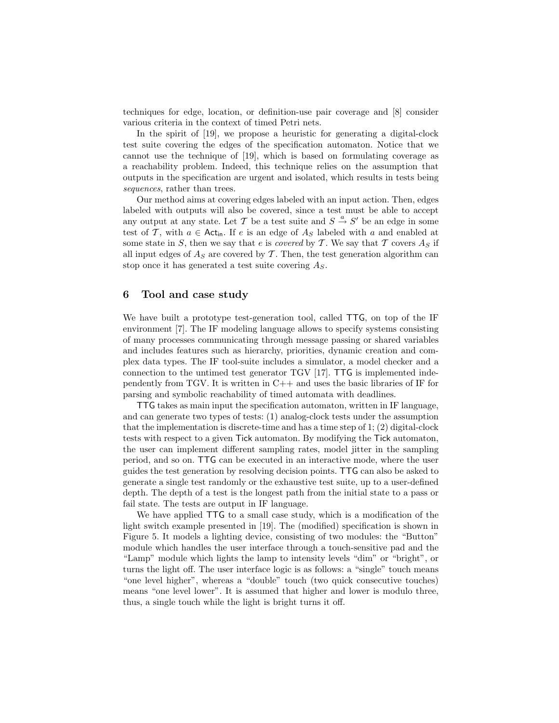techniques for edge, location, or definition-use pair coverage and [8] consider various criteria in the context of timed Petri nets.

In the spirit of [19], we propose a heuristic for generating a digital-clock test suite covering the edges of the specification automaton. Notice that we cannot use the technique of [19], which is based on formulating coverage as a reachability problem. Indeed, this technique relies on the assumption that outputs in the specification are urgent and isolated, which results in tests being sequences, rather than trees.

Our method aims at covering edges labeled with an input action. Then, edges labeled with outputs will also be covered, since a test must be able to accept any output at any state. Let T be a test suite and  $S \stackrel{a}{\rightarrow} S'$  be an edge in some test of T, with  $a \in \text{Act}_{\text{in}}$ . If e is an edge of  $A_S$  labeled with a and enabled at some state in S, then we say that e is covered by T. We say that T covers  $A<sub>S</sub>$  if all input edges of  $A<sub>S</sub>$  are covered by T. Then, the test generation algorithm can stop once it has generated a test suite covering  $A<sub>S</sub>$ .

## 6 Tool and case study

We have built a prototype test-generation tool, called TTG, on top of the IF environment [7]. The IF modeling language allows to specify systems consisting of many processes communicating through message passing or shared variables and includes features such as hierarchy, priorities, dynamic creation and complex data types. The IF tool-suite includes a simulator, a model checker and a connection to the untimed test generator TGV [17]. TTG is implemented independently from TGV. It is written in C++ and uses the basic libraries of IF for parsing and symbolic reachability of timed automata with deadlines.

TTG takes as main input the specification automaton, written in IF language, and can generate two types of tests: (1) analog-clock tests under the assumption that the implementation is discrete-time and has a time step of  $1$ ; (2) digital-clock tests with respect to a given Tick automaton. By modifying the Tick automaton, the user can implement different sampling rates, model jitter in the sampling period, and so on. TTG can be executed in an interactive mode, where the user guides the test generation by resolving decision points. TTG can also be asked to generate a single test randomly or the exhaustive test suite, up to a user-defined depth. The depth of a test is the longest path from the initial state to a pass or fail state. The tests are output in IF language.

We have applied TTG to a small case study, which is a modification of the light switch example presented in [19]. The (modified) specification is shown in Figure 5. It models a lighting device, consisting of two modules: the "Button" module which handles the user interface through a touch-sensitive pad and the "Lamp" module which lights the lamp to intensity levels "dim" or "bright", or turns the light off. The user interface logic is as follows: a "single" touch means "one level higher", whereas a "double" touch (two quick consecutive touches) means "one level lower". It is assumed that higher and lower is modulo three, thus, a single touch while the light is bright turns it off.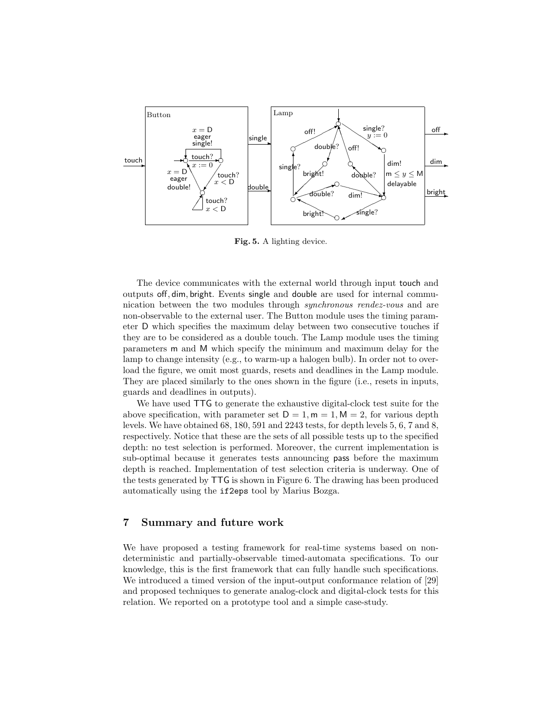

Fig. 5. A lighting device.

The device communicates with the external world through input touch and outputs off, dim, bright. Events single and double are used for internal communication between the two modules through synchronous rendez-vous and are non-observable to the external user. The Button module uses the timing parameter D which specifies the maximum delay between two consecutive touches if they are to be considered as a double touch. The Lamp module uses the timing parameters m and M which specify the minimum and maximum delay for the lamp to change intensity (e.g., to warm-up a halogen bulb). In order not to overload the figure, we omit most guards, resets and deadlines in the Lamp module. They are placed similarly to the ones shown in the figure (i.e., resets in inputs, guards and deadlines in outputs).

We have used TTG to generate the exhaustive digital-clock test suite for the above specification, with parameter set  $D = 1, m = 1, M = 2$ , for various depth levels. We have obtained 68, 180, 591 and 2243 tests, for depth levels 5, 6, 7 and 8, respectively. Notice that these are the sets of all possible tests up to the specified depth: no test selection is performed. Moreover, the current implementation is sub-optimal because it generates tests announcing pass before the maximum depth is reached. Implementation of test selection criteria is underway. One of the tests generated by TTG is shown in Figure 6. The drawing has been produced automatically using the if2eps tool by Marius Bozga.

# 7 Summary and future work

We have proposed a testing framework for real-time systems based on nondeterministic and partially-observable timed-automata specifications. To our knowledge, this is the first framework that can fully handle such specifications. We introduced a timed version of the input-output conformance relation of [29] and proposed techniques to generate analog-clock and digital-clock tests for this relation. We reported on a prototype tool and a simple case-study.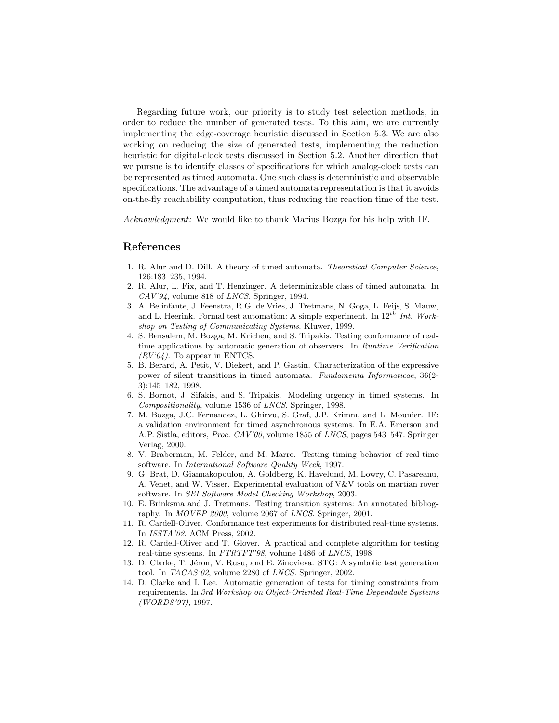Regarding future work, our priority is to study test selection methods, in order to reduce the number of generated tests. To this aim, we are currently implementing the edge-coverage heuristic discussed in Section 5.3. We are also working on reducing the size of generated tests, implementing the reduction heuristic for digital-clock tests discussed in Section 5.2. Another direction that we pursue is to identify classes of specifications for which analog-clock tests can be represented as timed automata. One such class is deterministic and observable specifications. The advantage of a timed automata representation is that it avoids on-the-fly reachability computation, thus reducing the reaction time of the test.

Acknowledgment: We would like to thank Marius Bozga for his help with IF.

## References

- 1. R. Alur and D. Dill. A theory of timed automata. Theoretical Computer Science, 126:183–235, 1994.
- 2. R. Alur, L. Fix, and T. Henzinger. A determinizable class of timed automata. In CAV'94, volume 818 of LNCS. Springer, 1994.
- 3. A. Belinfante, J. Feenstra, R.G. de Vries, J. Tretmans, N. Goga, L. Feijs, S. Mauw, and L. Heerink. Formal test automation: A simple experiment. In  $12^{th}$  Int. Workshop on Testing of Communicating Systems. Kluwer, 1999.
- 4. S. Bensalem, M. Bozga, M. Krichen, and S. Tripakis. Testing conformance of realtime applications by automatic generation of observers. In Runtime Verification  $(RV'04)$ . To appear in ENTCS.
- 5. B. Berard, A. Petit, V. Diekert, and P. Gastin. Characterization of the expressive power of silent transitions in timed automata. Fundamenta Informaticae, 36(2- 3):145–182, 1998.
- 6. S. Bornot, J. Sifakis, and S. Tripakis. Modeling urgency in timed systems. In Compositionality, volume 1536 of LNCS. Springer, 1998.
- 7. M. Bozga, J.C. Fernandez, L. Ghirvu, S. Graf, J.P. Krimm, and L. Mounier. IF: a validation environment for timed asynchronous systems. In E.A. Emerson and A.P. Sistla, editors, Proc. CAV'00, volume 1855 of LNCS, pages 543–547. Springer Verlag, 2000.
- 8. V. Braberman, M. Felder, and M. Marre. Testing timing behavior of real-time software. In International Software Quality Week, 1997.
- 9. G. Brat, D. Giannakopoulou, A. Goldberg, K. Havelund, M. Lowry, C. Pasareanu, A. Venet, and W. Visser. Experimental evaluation of V&V tools on martian rover software. In SEI Software Model Checking Workshop, 2003.
- 10. E. Brinksma and J. Tretmans. Testing transition systems: An annotated bibliography. In MOVEP 2000, volume 2067 of LNCS. Springer, 2001.
- 11. R. Cardell-Oliver. Conformance test experiments for distributed real-time systems. In ISSTA'02. ACM Press, 2002.
- 12. R. Cardell-Oliver and T. Glover. A practical and complete algorithm for testing real-time systems. In FTRTFT'98, volume 1486 of LNCS, 1998.
- 13. D. Clarke, T. Jéron, V. Rusu, and E. Zinovieva. STG: A symbolic test generation tool. In TACAS'02, volume 2280 of LNCS. Springer, 2002.
- 14. D. Clarke and I. Lee. Automatic generation of tests for timing constraints from requirements. In 3rd Workshop on Object-Oriented Real-Time Dependable Systems (WORDS'97), 1997.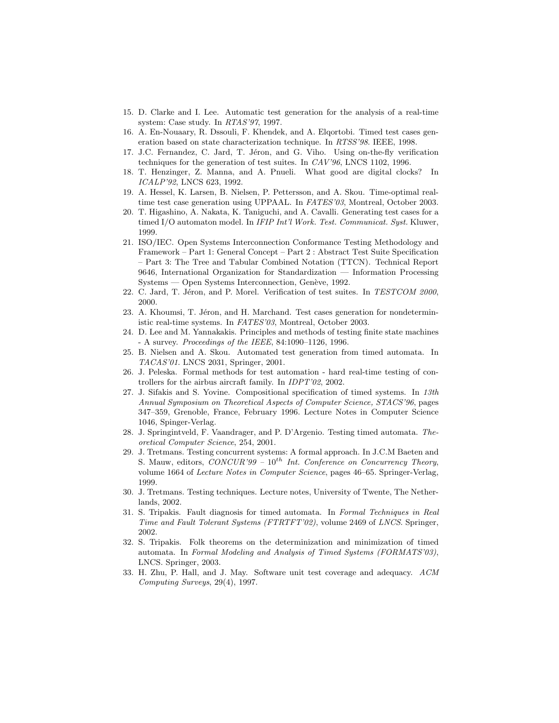- 15. D. Clarke and I. Lee. Automatic test generation for the analysis of a real-time system: Case study. In RTAS'97, 1997.
- 16. A. En-Nouaary, R. Dssouli, F. Khendek, and A. Elqortobi. Timed test cases generation based on state characterization technique. In RTSS'98. IEEE, 1998.
- 17. J.C. Fernandez, C. Jard, T. Jéron, and G. Viho. Using on-the-fly verification techniques for the generation of test suites. In CAV'96, LNCS 1102, 1996.
- 18. T. Henzinger, Z. Manna, and A. Pnueli. What good are digital clocks? In ICALP'92, LNCS 623, 1992.
- 19. A. Hessel, K. Larsen, B. Nielsen, P. Pettersson, and A. Skou. Time-optimal realtime test case generation using UPPAAL. In FATES'03, Montreal, October 2003.
- 20. T. Higashino, A. Nakata, K. Taniguchi, and A. Cavalli. Generating test cases for a timed I/O automaton model. In IFIP Int'l Work. Test. Communicat. Syst. Kluwer, 1999.
- 21. ISO/IEC. Open Systems Interconnection Conformance Testing Methodology and Framework – Part 1: General Concept – Part 2 : Abstract Test Suite Specification – Part 3: The Tree and Tabular Combined Notation (TTCN). Technical Report 9646, International Organization for Standardization — Information Processing Systems — Open Systems Interconnection, Genève, 1992.
- 22. C. Jard, T. Jéron, and P. Morel. Verification of test suites. In TESTCOM 2000, 2000.
- 23. A. Khoumsi, T. Jéron, and H. Marchand. Test cases generation for nondeterministic real-time systems. In FATES'03, Montreal, October 2003.
- 24. D. Lee and M. Yannakakis. Principles and methods of testing finite state machines - A survey. Proceedings of the IEEE, 84:1090–1126, 1996.
- 25. B. Nielsen and A. Skou. Automated test generation from timed automata. In TACAS'01. LNCS 2031, Springer, 2001.
- 26. J. Peleska. Formal methods for test automation hard real-time testing of controllers for the airbus aircraft family. In IDPT'02, 2002.
- 27. J. Sifakis and S. Yovine. Compositional specification of timed systems. In 13th Annual Symposium on Theoretical Aspects of Computer Science, STACS'96, pages 347–359, Grenoble, France, February 1996. Lecture Notes in Computer Science 1046, Spinger-Verlag.
- 28. J. Springintveld, F. Vaandrager, and P. D'Argenio. Testing timed automata. Theoretical Computer Science, 254, 2001.
- 29. J. Tretmans. Testing concurrent systems: A formal approach. In J.C.M Baeten and S. Mauw, editors,  $\ddot{CONCUR}$ '99 –  $10^{th}$  Int. Conference on Concurrency Theory, volume 1664 of Lecture Notes in Computer Science, pages 46–65. Springer-Verlag, 1999.
- 30. J. Tretmans. Testing techniques. Lecture notes, University of Twente, The Netherlands, 2002.
- 31. S. Tripakis. Fault diagnosis for timed automata. In Formal Techniques in Real Time and Fault Tolerant Systems (FTRTFT'02), volume 2469 of LNCS. Springer, 2002.
- 32. S. Tripakis. Folk theorems on the determinization and minimization of timed automata. In Formal Modeling and Analysis of Timed Systems (FORMATS'03), LNCS. Springer, 2003.
- 33. H. Zhu, P. Hall, and J. May. Software unit test coverage and adequacy. ACM Computing Surveys, 29(4), 1997.